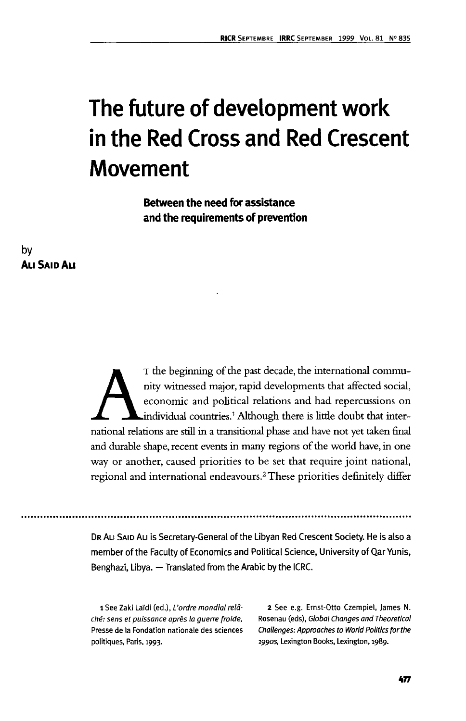# **The future of development work in the Red Cross and Red Crescent Movement**

**Between the need for assistance and the requirements of prevention**

# **by ALISAIDALI**

The beginning of the past decade, the international community witnessed major, rapid developments that affected social, economic and political relations and had repercussions on individual countries.<sup>1</sup> Although there is l nity witnessed major, rapid developments that affected social, economic and political relations and had repercussions on individual countries.<sup>1</sup> Although there is little doubt that interand durable shape, recent events in many regions of die world have, in one way or another, caused priorities to be set that require joint national, regional and international endeavours.<sup>2</sup> These priorities definitely differ

DR ALI SAID ALI is Secretary-General of the Libyan Red Crescent Society. He is also a member of the Faculty of Economics and Political Science, University of Qar Yunis, Benghazi, Libya. — Translated from the Arabic by the ICRC.

ché: sens et puissance après la guerre froide, Rosenau (eds), Global Changes and Theoretical Presse de la Fondation nationale des sciences Challenges: Approaches to World Politics for the politiques, Paris, 1993. 1990s, Lexington Books, Lexington, 1989.

1 See Zaki Laïdi (ed.), L'ordre mondial relâ- 2 See e.g. Ernst-Otto Czempiel, James N.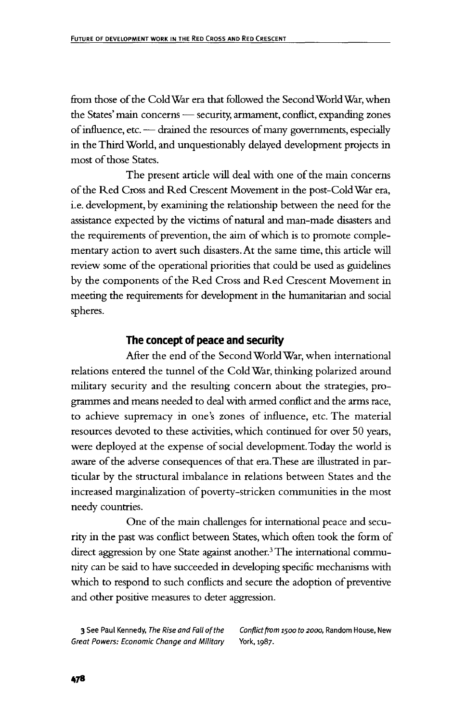from those of the Cold War era that followed the SecondWorld War, when the States' main concerns — security, armament, conflict, expanding zones of influence, etc. — drained the resources of many governments, especially in the Third World, and unquestionably delayed development projects in most of those States.

The present article will deal with one of the main concerns of the Red Cross and Red Crescent Movement in the post-Cold War era, i.e. development, by examining the relationship between the need for the assistance expected by the victims of natural and man-made disasters and the requirements of prevention, the aim of which is to promote complementary action to avert such disasters. At the same time, this article will review some of the operational priorities that could be used as guidelines by the components of the Red Cross and Red Crescent Movement in meeting the requirements for development in the humanitarian and social spheres.

# **The concept of peace and security**

After the end of the Second World War, when international relations entered the tunnel of the Cold War, thinking polarized around military security and the resulting concern about the strategies, programmes and means needed to deal with armed conflict and the arms race, to achieve supremacy in one's zones of influence, etc. The material resources devoted to these activities, which continued for over 50 years, were deployed at the expense of social development. Today the world is aware of the adverse consequences of that era. These are illustrated in particular by the structural imbalance in relations between States and the increased marginalization of poverty-stricken communities in the most needy countries.

One of the main challenges for international peace and security in the past was conflict between States, which often took the form of direct aggression by one State against another.<sup>3</sup> The international community can be said to have succeeded in developing specific mechanisms with which to respond to such conflicts and secure the adoption of preventive and other positive measures to deter aggression.

Great Powers: Economic Change and Military York, 1987.

3 See Paul Kennedy, The Rise and Fall of the Conflict from 1500 to 2000, Random House, New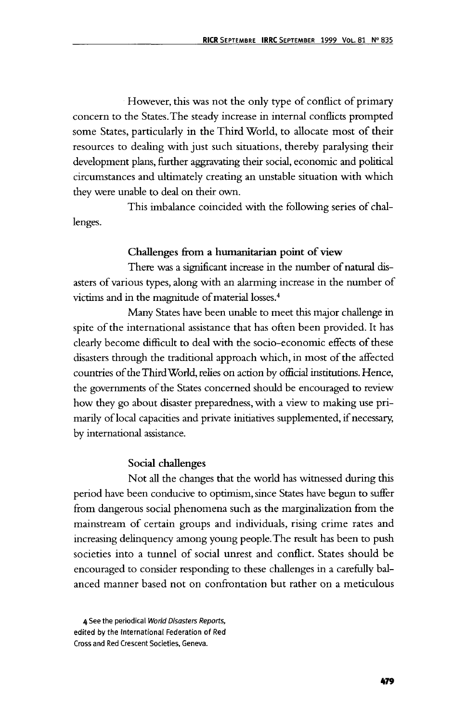However, this was not the only type of conflict of primary concern to the States. The steady increase in internal conflicts prompted some States, particularly in the Third World, to allocate most of their resources to dealing with just such situations, thereby paralysing their development plans, further aggravating their social, economic and political circumstances and ultimately creating an unstable situation with which they were unable to deal on their own.

This imbalance coincided with the following series of challenges.

#### **Challenges from a humanitarian point of view**

There was a significant increase in the number of natural disasters of various types, along with an alarming increase in the number of victims and in the magnitude of material losses.4

Many States have been unable to meet diis major challenge in spite of the international assistance that has often been provided. It has clearly become difficult to deal with the socio-economic effects of these disasters through the traditional approach which, in most of the affected countries of the Third World, relies on action by official institutions. Hence, the governments of the States concerned should be encouraged to review how they go about disaster preparedness, with a view to making use primarily of local capacities and private initiatives supplemented, if necessary, by international assistance.

#### **Social challenges**

Not all the changes that the world has witnessed during this period have been conducive to optimism, since States have begun to suffer from dangerous social phenomena such as the marginalization from the mainstream of certain groups and individuals, rising crime rates and increasing delinquency among young people. The result has been to push societies into a tunnel of social unrest and conflict. States should be encouraged to consider responding to these challenges in a carefully balanced manner based not on confrontation but rather on a meticulous

<sup>4</sup> See the periodical World Disasters Reports, edited by the International Federation of Red Cross and Red Crescent Societies, Geneva.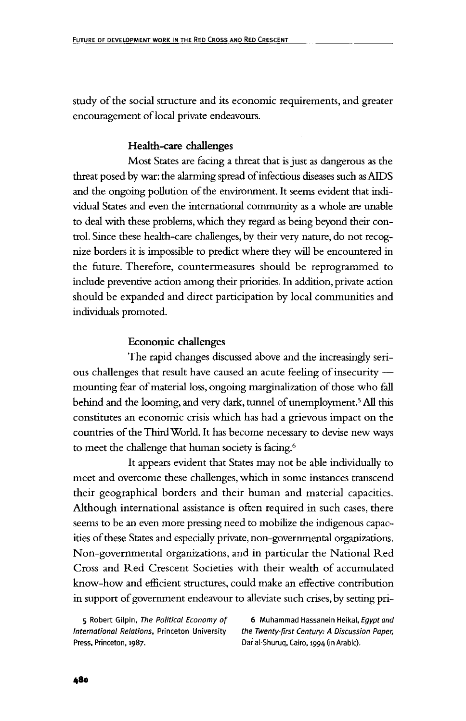study of the social structure and its economic requirements, and greater encouragement of local private endeavours.

#### **Health-care challenges**

Most States are facing a threat that is just as dangerous as the threat posed by war: the alarming spread of infectious diseases such as AIDS and the ongoing pollution of the environment. It seems evident that individual States and even the international community as a whole are unable to deal with these problems, which they regard as being beyond their control. Since these health-care challenges, by their very nature, do not recognize borders it is impossible to predict where they will be encountered in the future. Therefore, countermeasures should be reprogrammed to include preventive action among their priorities. In addition, private action should be expanded and direct participation by local communities and individuals promoted.

#### **Economic challenges**

The rapid changes discussed above and the increasingly serious challenges that result have caused an acute feeling of insecurity mounting fear of material loss, ongoing marginalization of those who fall behind and the looming, and very dark, tunnel of unemployment.<sup>5</sup> All this constitutes an economic crisis which has had a grievous impact on the countries of the Third World. It has become necessary to devise new ways to meet the challenge that human society is facing.<sup>6</sup>

It appears evident that States may not be able individually to meet and overcome these challenges, which in some instances transcend their geographical borders and their human and material capacities. Although international assistance is often required in such cases, there seems to be an even more pressing need to mobilize the indigenous capacities of these States and especially private, non-governmental organizations. Non-governmental organizations, and in particular the National Red Cross and Red Crescent Societies with their wealth of accumulated know-how and efficient structures, could make an effective contribution in support of government endeavour to alleviate such crises, by setting pri-

International Relations, Princeton University the Twenty-first Century: A Discussion Paper, Press, Princeton, 1987. Care and Dar al-Shuruq, Cairo, 1994 (in Arabic).

5 Robert Gilpin, The Political Economy of 6 Muhammad Hassanein Heikal, Egypt and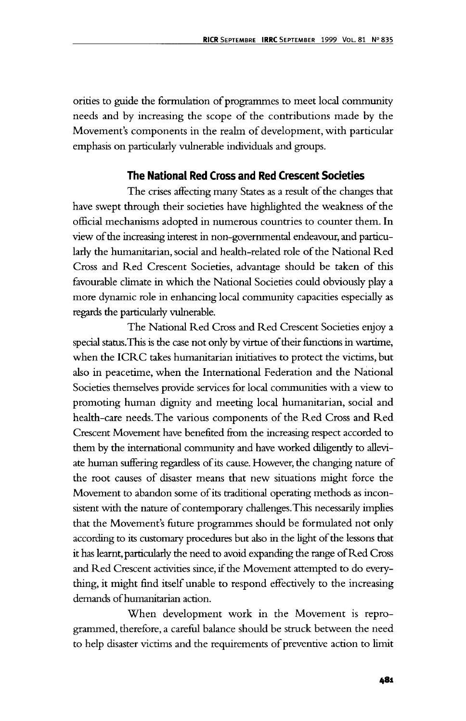orities to guide the formulation of programmes to meet local community needs and by increasing the scope of the contributions made by the Movement's components in the realm of development, with particular emphasis on particularly vulnerable individuals and groups.

#### **The National Red Cross and Red Crescent Societies**

The crises affecting many States as a result of the changes that have swept through their societies have highlighted the weakness of the official mechanisms adopted in numerous countries to counter them. In view of the increasing interest in non-governmental endeavour, and particularly the humanitarian, social and health-related role of the National Red Cross and Red Crescent Societies, advantage should be taken of this favourable climate in which the National Societies could obviously play a more dynamic role in enhancing local community capacities especially as regards the particularly vulnerable.

The National Red Cross and Red Crescent Societies enjoy a special status.This is the case not only by virtue of their functions in wartime, when the ICRC takes humanitarian initiatives to protect the victims, but also in peacetime, when the International Federation and the National Societies themselves provide services for local communities with a view to promoting human dignity and meeting local humanitarian, social and health-care needs. The various components of the Red Cross and Red Crescent Movement have benefited from the increasing respect accorded to them by the international community and have worked diligently to alleviate human suffering regardless of its cause. However, the changing nature of the root causes of disaster means that new situations might force the Movement to abandon some of its traditional operating methods as inconsistent with the nature of contemporary challenges.This necessarily implies that the Movement's future programmes should be formulated not only according to its customary procedures but also in the light of the lessons that it has learnt, particularly the need to avoid expanding the range of Red Cross and Red Crescent activities since, if the Movement attempted to do everything, it might find itself unable to respond effectively to the increasing demands of humanitarian action.

When development work in the Movement is reprogrammed, therefore, a careful balance should be struck between the need to help disaster victims and the requirements of preventive action to limit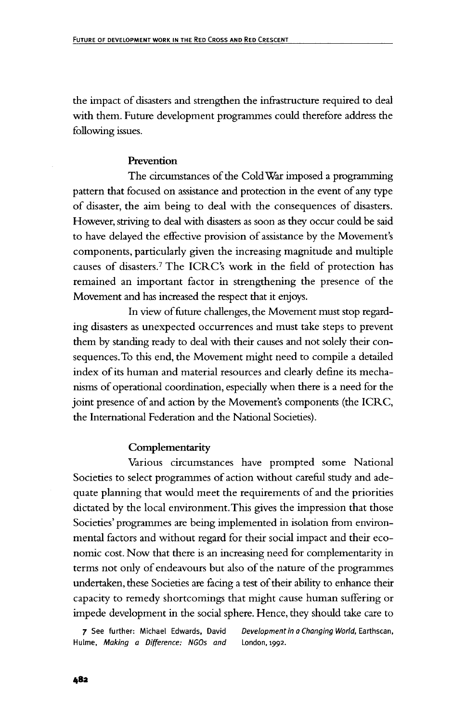the impact of disasters and strengthen the infrastructure required to deal with them. Future development programmes could therefore address the following issues.

#### **Prevention**

The circumstances of the Cold War imposed a programming pattern that focused on assistance and protection in the event of any type of disaster, the aim being to deal with the consequences of disasters. However, striving to deal with disasters as soon as they occur could be said to have delayed the effective provision of assistance by the Movement's components, particularly given the increasing magnitude and multiple causes of disasters.7 The ICRC's work in the field of protection has remained an important factor in strengthening the presence of the Movement and has increased the respect that it enjoys.

In view of future challenges, the Movement must stop regarding disasters as unexpected occurrences and must take steps to prevent them by standing ready to deal with their causes and not solely their consequences. To this end, the Movement might need to compile a detailed index of its human and material resources and clearly define its mechanisms of operational coordination, especially when there is a need for the joint presence of and action by the Movement's components (the ICRC, the International Federation and the National Societies).

#### Complementarity

Various circumstances have prompted some National Societies to select programmes of action without careful study and adequate planning that would meet the requirements of and the priorities dictated by the local environment. This gives the impression that those Societies' programmes are being implemented in isolation from environmental factors and without regard for their social impact and their economic cost. Now that there is an increasing need for complementarity in terms not only of endeavours but also of the nature of the programmes undertaken, these Societies are facing a test of their ability to enhance their capacity to remedy shortcomings that might cause human suffering or impede development in the social sphere. Hence, they should take care to

Hulme, Making a Difference: NGOs and London, 1992.

7 See further: Michael Edwards, David Development in a Changing World, Earthscan,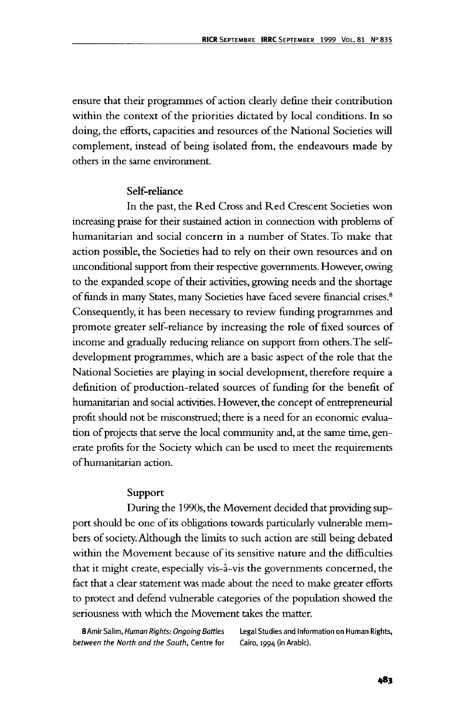ensure that their programmes of action clearly define their contribution within the context of the priorities dictated by local conditions. In so doing, the efforts, capacities and resources of the National Societies will complement, instead of being isolated from, the endeavours made by others in die same environment.

# Self-reliance

In the past, the Red Cross and Red Crescent Societies won increasing praise for their sustained action in connection with problems of humanitarian and social concern in a number of States. To make that action possible, the Societies had to rely on their own resources and on unconditional support from dieir respective governments. However, owing to the expanded scope of their activities, growing needs and the shortage of funds in many States, many Societies have faced severe financial crises.8 Consequently, it has been necessary to review funding programmes and promote greater self-reliance by increasing the role of fixed sources of income and gradually reducing reliance on support from others.The selfdevelopment programmes, which are a basic aspect of the role that the National Societies are playing in social development, therefore require a definition of production-related sources of funding for the benefit of humanitarian and social activities. However, the concept of entrepreneurial profit should not be misconstrued; there is a need for an economic evaluation of projects that serve the local community and, at the same time, generate profits for the Society which can be used to meet the requirements of humanitarian action.

# Support

During the 1990s, the Movement decided that providing support should be one of its obligations towards particularly vulnerable members of society. Although the limits to such action are still being debated within the Movement because of its sensitive nature and the difficulties that it might create, especially vis-a-vis the governments concerned, the fact that a clear statement was made about the need to make greater efforts to protect and defend vulnerable categories of the population showed die seriousness with which the Movement takes the matter.

between the North and the South, Centre for Cairo, 1994 (in Arabic).

8 Amir Salim, Human Rights: Ongoing Battles Legal Studies and Information on Human Rights,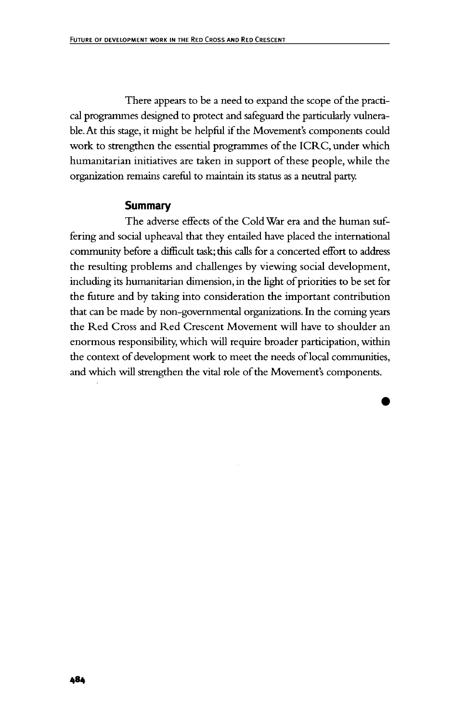There appears to be a need to expand the scope of the practical programmes designed to protect and safeguard the particularly vulnerable. At this stage, it might be helpful if the Movement's components could work to strengthen the essential programmes of the ICRC, under which humanitarian initiatives are taken in support of these people, while the organization remains careful to maintain its status as a neutral party.

#### **Summary**

The adverse effects of the Cold War era and the human suffering and social upheaval that they entailed have placed the international community before a difficult task; this calls for a concerted effort to address the resulting problems and challenges by viewing social development, including its humanitarian dimension, in the light of priorities to be set for the future and by taking into consideration the important contribution that can be made by non-governmental organizations. In the coming years the Red Cross and Red Crescent Movement will have to shoulder an enormous responsibility, which will require broader participation, within the context of development work to meet the needs of local communities, and which will strengthen the vital role of the Movement's components.